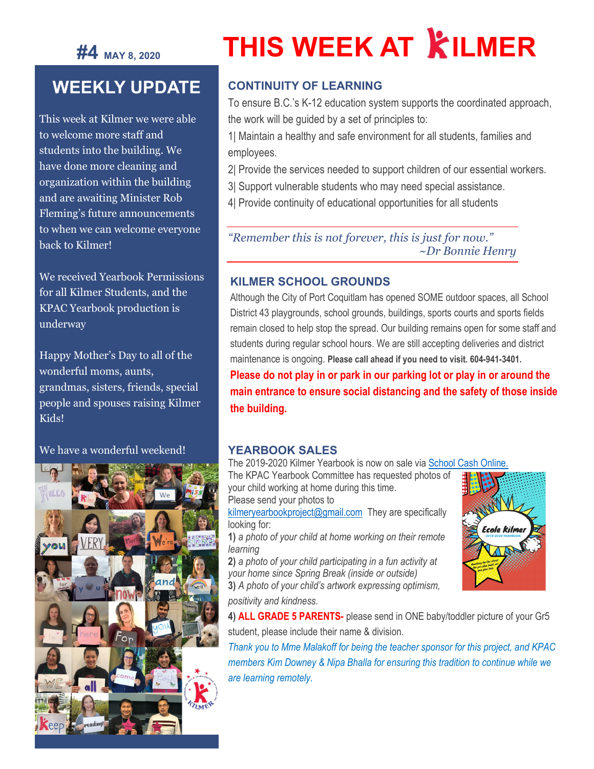## **#4 MAY 8, <sup>2020</sup>**

# **THIS WEEK AT KILMER**

## **WEEKLY UPDATE**

This week at Kilmer we were able to welcome more staff and students into the building. We have done more cleaning and organization within the building and are awaiting Minister Rob Fleming's future announcements to when we can welcome everyone back to Kilmer!

We received Yearbook Permissions for all Kilmer Students, and the KPAC Yearbook production is underway

Happy Mother's Day to all of the wonderful moms, aunts, grandmas, sisters, friends, special people and spouses raising Kilmer Kids!

#### We have a wonderful weekend!



#### **CONTINUITY OF LEARNING**

To ensure B.C.'s K-12 education system supports the coordinated approach, the work will be guided by a set of principles to:

1| Maintain a healthy and safe environment for all students, families and employees.

- 2| Provide the services needed to support children of our essential workers.
- 3| Support vulnerable students who may need special assistance.
- 4| Provide continuity of educational opportunities for all students

*"Remember this is not forever, this is just for now." ~Dr Bonnie Henry*

#### **KILMER SCHOOL GROUNDS**

Although the City of Port Coquitlam has opened SOME outdoor spaces, all School District 43 playgrounds, school grounds, buildings, sports courts and sports fields remain closed to help stop the spread. Our building remains open for some staff and students during regular school hours. We are still accepting deliveries and district maintenance is ongoing. **Please call ahead if you need to visit. 604-941-3401.**

**Please do not play in or park in our parking lot or play in or around the main entrance to ensure social distancing and the safety of those inside the building.**

#### **YEARBOOK SALES**

The 2019-2020 Kilmer Yearbook is now on sale vi[a School Cash Online.](https://sd43.schoolcashonline.com/)

The KPAC Yearbook Committee has requested photos of your child working at home during this time. Please send your photos to

[kilmeryearbookproject@gmail.com](mailto:kilmeryearbookproject@gmail.com) They are specifically looking for:

**1)** *a photo of your child at home working on their remote learning*

**2)** *a photo of your child participating in a fun activity at your home since Spring Break (inside or outside)*

**3)** *A photo of your child's artwork expressing optimism,* 

*positivity and kindness.*

**4) ALL GRADE 5 PARENTS-** please send in ONE baby/toddler picture of your Gr5 student, please include their name & division.

*Thank you to Mme Malakoff for being the teacher sponsor for this project, and KPAC members Kim Downey & Nipa Bhalla for ensuring this tradition to continue while we are learning remotely.*